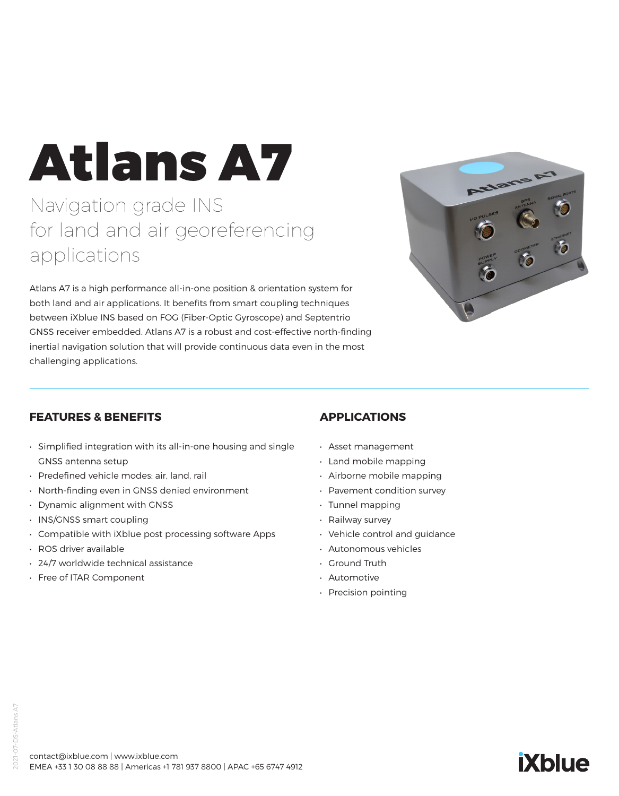# Atlans A7

Navigation grade INS for land and air georeferencing applications

Atlans A7 is a high performance all-in-one position & orientation system for both land and air applications. It benefits from smart coupling techniques between iXblue INS based on FOG (Fiber-Optic Gyroscope) and Septentrio GNSS receiver embedded. Atlans A7 is a robust and cost-effective north-finding inertial navigation solution that will provide continuous data even in the most challenging applications.



**iXblue** 

#### **FEATURES & BENEFITS**

- Simplified integration with its all-in-one housing and single GNSS antenna setup
- Predefined vehicle modes: air, land, rail
- North-finding even in GNSS denied environment
- Dynamic alignment with GNSS
- INS/GNSS smart coupling
- Compatible with iXblue post processing software Apps
- ROS driver available
- 24/7 worldwide technical assistance
- Free of ITAR Component

## **APPLICATIONS**

- Asset management
- Land mobile mapping
- Airborne mobile mapping
- Pavement condition survey
- Tunnel mapping
- Railway survey
- Vehicle control and guidance
- Autonomous vehicles
- Ground Truth
- Automotive
- Precision pointing